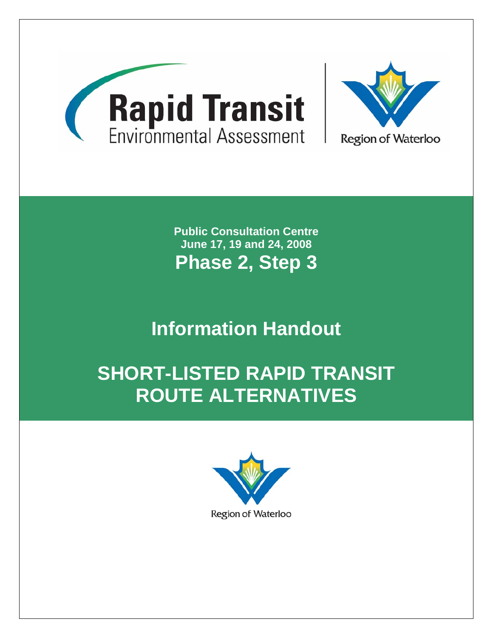

**Public Consultation Centre June 17, 19 and 24, 2008 Phase 2, Step 3** 

# **Information Handout**

# **SHORT-LISTED RAPID TRANSIT ROUTE ALTERNATIVES**

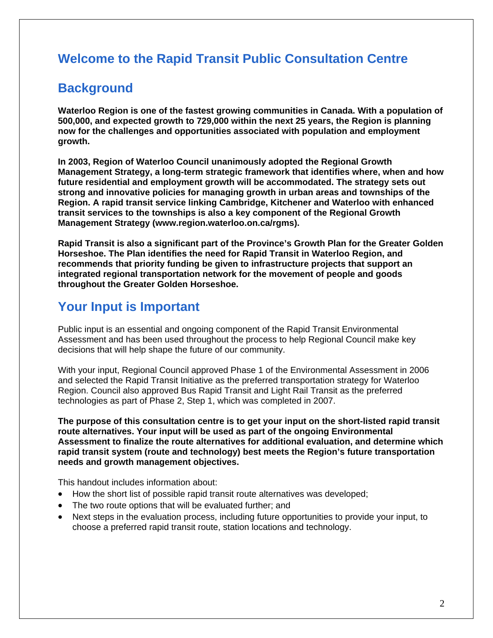# **Welcome to the Rapid Transit Public Consultation Centre**

## **Background**

**Waterloo Region is one of the fastest growing communities in Canada. With a population of 500,000, and expected growth to 729,000 within the next 25 years, the Region is planning now for the challenges and opportunities associated with population and employment growth.** 

**In 2003, Region of Waterloo Council unanimously adopted the Regional Growth Management Strategy, a long-term strategic framework that identifies where, when and how future residential and employment growth will be accommodated. The strategy sets out strong and innovative policies for managing growth in urban areas and townships of the Region. A rapid transit service linking Cambridge, Kitchener and Waterloo with enhanced transit services to the townships is also a key component of the Regional Growth Management Strategy (www.region.waterloo.on.ca/rgms).** 

**Rapid Transit is also a significant part of the Province's Growth Plan for the Greater Golden Horseshoe. The Plan identifies the need for Rapid Transit in Waterloo Region, and recommends that priority funding be given to infrastructure projects that support an integrated regional transportation network for the movement of people and goods throughout the Greater Golden Horseshoe.** 

## **Your Input is Important**

Public input is an essential and ongoing component of the Rapid Transit Environmental Assessment and has been used throughout the process to help Regional Council make key decisions that will help shape the future of our community.

With your input, Regional Council approved Phase 1 of the Environmental Assessment in 2006 and selected the Rapid Transit Initiative as the preferred transportation strategy for Waterloo Region. Council also approved Bus Rapid Transit and Light Rail Transit as the preferred technologies as part of Phase 2, Step 1, which was completed in 2007.

**The purpose of this consultation centre is to get your input on the short-listed rapid transit route alternatives. Your input will be used as part of the ongoing Environmental Assessment to finalize the route alternatives for additional evaluation, and determine which rapid transit system (route and technology) best meets the Region's future transportation needs and growth management objectives.** 

This handout includes information about:

- How the short list of possible rapid transit route alternatives was developed;
- The two route options that will be evaluated further; and
- Next steps in the evaluation process, including future opportunities to provide your input, to choose a preferred rapid transit route, station locations and technology.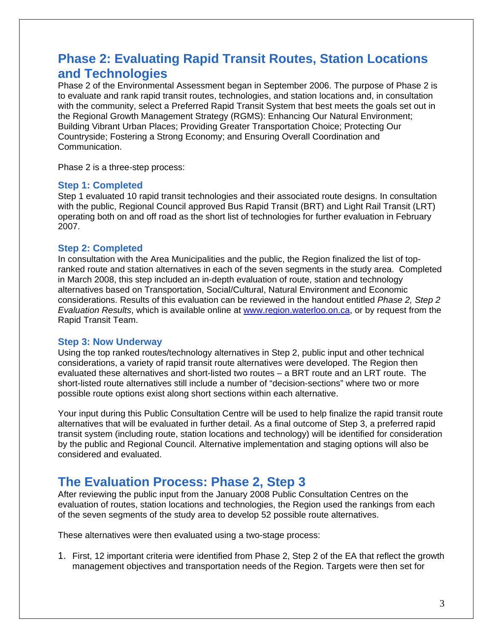### **Phase 2: Evaluating Rapid Transit Routes, Station Locations and Technologies**

Phase 2 of the Environmental Assessment began in September 2006. The purpose of Phase 2 is to evaluate and rank rapid transit routes, technologies, and station locations and, in consultation with the community, select a Preferred Rapid Transit System that best meets the goals set out in the Regional Growth Management Strategy (RGMS): Enhancing Our Natural Environment; Building Vibrant Urban Places; Providing Greater Transportation Choice; Protecting Our Countryside; Fostering a Strong Economy; and Ensuring Overall Coordination and Communication.

Phase 2 is a three-step process:

#### **Step 1: Completed**

Step 1 evaluated 10 rapid transit technologies and their associated route designs. In consultation with the public, Regional Council approved Bus Rapid Transit (BRT) and Light Rail Transit (LRT) operating both on and off road as the short list of technologies for further evaluation in February 2007.

#### **Step 2: Completed**

In consultation with the Area Municipalities and the public, the Region finalized the list of topranked route and station alternatives in each of the seven segments in the study area. Completed in March 2008, this step included an in-depth evaluation of route, station and technology alternatives based on Transportation, Social/Cultural, Natural Environment and Economic considerations. Results of this evaluation can be reviewed in the handout entitled *Phase 2, Step 2 Evaluation Results*, which is available online at www.region.waterloo.on.ca, or by request from the Rapid Transit Team.

#### **Step 3: Now Underway**

Using the top ranked routes/technology alternatives in Step 2, public input and other technical considerations, a variety of rapid transit route alternatives were developed. The Region then evaluated these alternatives and short-listed two routes – a BRT route and an LRT route. The short-listed route alternatives still include a number of "decision-sections" where two or more possible route options exist along short sections within each alternative.

Your input during this Public Consultation Centre will be used to help finalize the rapid transit route alternatives that will be evaluated in further detail. As a final outcome of Step 3, a preferred rapid transit system (including route, station locations and technology) will be identified for consideration by the public and Regional Council. Alternative implementation and staging options will also be considered and evaluated.

### **The Evaluation Process: Phase 2, Step 3**

After reviewing the public input from the January 2008 Public Consultation Centres on the evaluation of routes, station locations and technologies, the Region used the rankings from each of the seven segments of the study area to develop 52 possible route alternatives.

These alternatives were then evaluated using a two-stage process:

1. First, 12 important criteria were identified from Phase 2, Step 2 of the EA that reflect the growth management objectives and transportation needs of the Region. Targets were then set for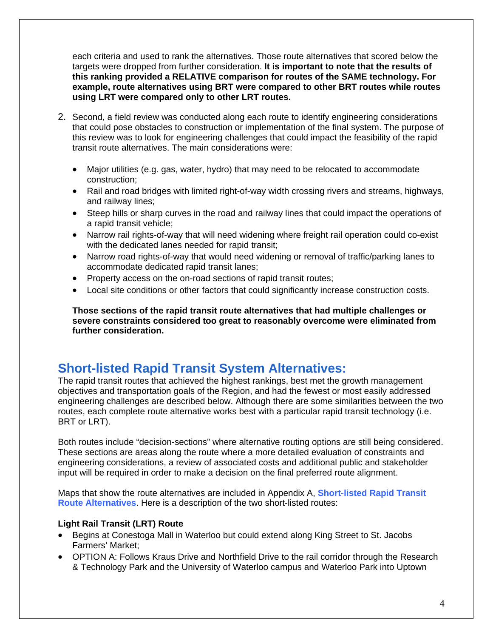each criteria and used to rank the alternatives. Those route alternatives that scored below the targets were dropped from further consideration. **It is important to note that the results of this ranking provided a RELATIVE comparison for routes of the SAME technology. For example, route alternatives using BRT were compared to other BRT routes while routes using LRT were compared only to other LRT routes.**

- 2. Second, a field review was conducted along each route to identify engineering considerations that could pose obstacles to construction or implementation of the final system. The purpose of this review was to look for engineering challenges that could impact the feasibility of the rapid transit route alternatives. The main considerations were:
	- Major utilities (e.g. gas, water, hydro) that may need to be relocated to accommodate construction;
	- Rail and road bridges with limited right-of-way width crossing rivers and streams, highways, and railway lines;
	- Steep hills or sharp curves in the road and railway lines that could impact the operations of a rapid transit vehicle;
	- Narrow rail rights-of-way that will need widening where freight rail operation could co-exist with the dedicated lanes needed for rapid transit;
	- Narrow road rights-of-way that would need widening or removal of traffic/parking lanes to accommodate dedicated rapid transit lanes;
	- Property access on the on-road sections of rapid transit routes;
	- Local site conditions or other factors that could significantly increase construction costs.

**Those sections of the rapid transit route alternatives that had multiple challenges or severe constraints considered too great to reasonably overcome were eliminated from further consideration.** 

## **Short-listed Rapid Transit System Alternatives:**

The rapid transit routes that achieved the highest rankings, best met the growth management objectives and transportation goals of the Region, and had the fewest or most easily addressed engineering challenges are described below. Although there are some similarities between the two routes, each complete route alternative works best with a particular rapid transit technology (i.e. BRT or LRT).

Both routes include "decision-sections" where alternative routing options are still being considered. These sections are areas along the route where a more detailed evaluation of constraints and engineering considerations, a review of associated costs and additional public and stakeholder input will be required in order to make a decision on the final preferred route alignment.

Maps that show the route alternatives are included in Appendix A, **Short-listed Rapid Transit Route Alternatives**. Here is a description of the two short-listed routes:

#### **Light Rail Transit (LRT) Route**

- Begins at Conestoga Mall in Waterloo but could extend along King Street to St. Jacobs Farmers' Market;
- OPTION A: Follows Kraus Drive and Northfield Drive to the rail corridor through the Research & Technology Park and the University of Waterloo campus and Waterloo Park into Uptown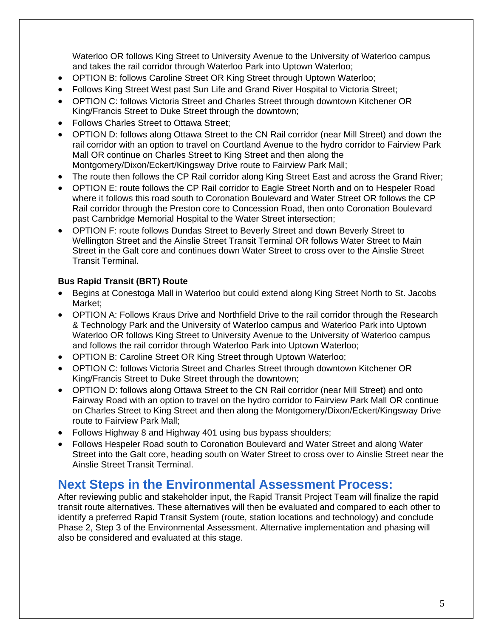Waterloo OR follows King Street to University Avenue to the University of Waterloo campus and takes the rail corridor through Waterloo Park into Uptown Waterloo;

- OPTION B: follows Caroline Street OR King Street through Uptown Waterloo;
- Follows King Street West past Sun Life and Grand River Hospital to Victoria Street;
- OPTION C: follows Victoria Street and Charles Street through downtown Kitchener OR King/Francis Street to Duke Street through the downtown;
- Follows Charles Street to Ottawa Street;
- OPTION D: follows along Ottawa Street to the CN Rail corridor (near Mill Street) and down the rail corridor with an option to travel on Courtland Avenue to the hydro corridor to Fairview Park Mall OR continue on Charles Street to King Street and then along the Montgomery/Dixon/Eckert/Kingsway Drive route to Fairview Park Mall;
- The route then follows the CP Rail corridor along King Street East and across the Grand River;
- OPTION E: route follows the CP Rail corridor to Eagle Street North and on to Hespeler Road where it follows this road south to Coronation Boulevard and Water Street OR follows the CP Rail corridor through the Preston core to Concession Road, then onto Coronation Boulevard past Cambridge Memorial Hospital to the Water Street intersection;
- OPTION F: route follows Dundas Street to Beverly Street and down Beverly Street to Wellington Street and the Ainslie Street Transit Terminal OR follows Water Street to Main Street in the Galt core and continues down Water Street to cross over to the Ainslie Street Transit Terminal.

#### **Bus Rapid Transit (BRT) Route**

- Begins at Conestoga Mall in Waterloo but could extend along King Street North to St. Jacobs Market;
- OPTION A: Follows Kraus Drive and Northfield Drive to the rail corridor through the Research & Technology Park and the University of Waterloo campus and Waterloo Park into Uptown Waterloo OR follows King Street to University Avenue to the University of Waterloo campus and follows the rail corridor through Waterloo Park into Uptown Waterloo;
- OPTION B: Caroline Street OR King Street through Uptown Waterloo;
- OPTION C: follows Victoria Street and Charles Street through downtown Kitchener OR King/Francis Street to Duke Street through the downtown;
- OPTION D: follows along Ottawa Street to the CN Rail corridor (near Mill Street) and onto Fairway Road with an option to travel on the hydro corridor to Fairview Park Mall OR continue on Charles Street to King Street and then along the Montgomery/Dixon/Eckert/Kingsway Drive route to Fairview Park Mall;
- Follows Highway 8 and Highway 401 using bus bypass shoulders;
- Follows Hespeler Road south to Coronation Boulevard and Water Street and along Water Street into the Galt core, heading south on Water Street to cross over to Ainslie Street near the Ainslie Street Transit Terminal.

### **Next Steps in the Environmental Assessment Process:**

After reviewing public and stakeholder input, the Rapid Transit Project Team will finalize the rapid transit route alternatives. These alternatives will then be evaluated and compared to each other to identify a preferred Rapid Transit System (route, station locations and technology) and conclude Phase 2, Step 3 of the Environmental Assessment. Alternative implementation and phasing will also be considered and evaluated at this stage.